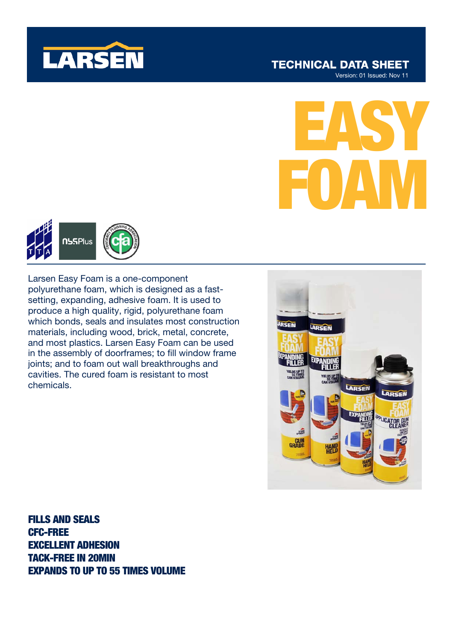

### **TECHNICAL DATA SHEET** Version: 01 Issued: Nov 11

EASY FOAM



Larsen Easy Foam is a one-component polyurethane foam, which is designed as a fastsetting, expanding, adhesive foam. It is used to produce a high quality, rigid, polyurethane foam which bonds, seals and insulates most construction materials, including wood, brick, metal, concrete, and most plastics. Larsen Easy Foam can be used in the assembly of doorframes; to fill window frame joints; and to foam out wall breakthroughs and cavities. The cured foam is resistant to most chemicals.



FILLS AND SEALS CFC-FREE EXCELLENT ADHESION TACK-FREE IN 20MIN EXPANDS TO UP TO 55 TIMES VOLUME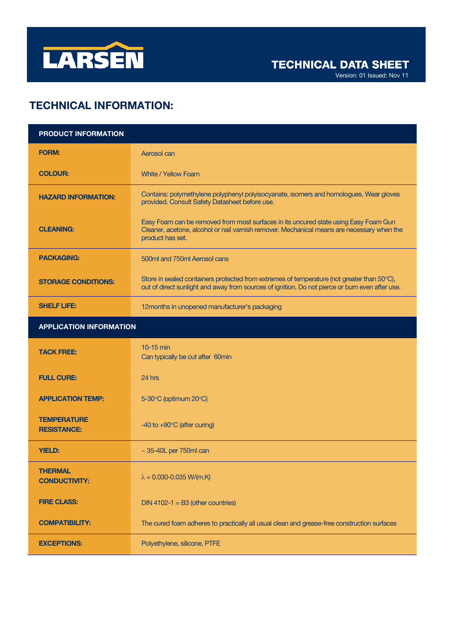

# TECHNICAL INFORMATION:

| <b>PRODUCT INFORMATION</b>               |                                                                                                                                                                                                         |
|------------------------------------------|---------------------------------------------------------------------------------------------------------------------------------------------------------------------------------------------------------|
| <b>FORM:</b>                             | Aerosol can                                                                                                                                                                                             |
| <b>COLOUR:</b>                           | <b>White / Yellow Foam</b>                                                                                                                                                                              |
| <b>HAZARD INFORMATION:</b>               | Contains: polymethylene polyphenyl polyisocyanate, isomers and homologues. Wear gloves<br>provided. Consult Safety Datasheet before use.                                                                |
| <b>CLEANING:</b>                         | Easy Foam can be removed from most surfaces in its uncured state using Easy Foam Gun<br>Cleaner, acetone, alcohol or nail varnish remover. Mechanical means are necessary when the<br>product has set.  |
| <b>PACKAGING:</b>                        | 500ml and 750ml Aerosol cans                                                                                                                                                                            |
| <b>STORAGE CONDITIONS:</b>               | Store in sealed containers protected from extremes of temperature (not greater than $50^{\circ}$ C),<br>out of direct sunlight and away from sources of ignition. Do not pierce or burn even after use. |
| <b>SHELF LIFE:</b>                       | 12months in unopened manufacturer's packaging                                                                                                                                                           |
| <b>APPLICATION INFORMATION</b>           |                                                                                                                                                                                                         |
| <b>TACK FREE:</b>                        | $10-15$ min<br>Can typically be cut after 60min                                                                                                                                                         |
| <b>FULL CURE:</b>                        | 24 hrs                                                                                                                                                                                                  |
| <b>APPLICATION TEMP:</b>                 | 5-30°C (optimum 20°C)                                                                                                                                                                                   |
| <b>TEMPERATURE</b><br><b>RESISTANCE:</b> | -40 to $+90^{\circ}$ C (after curing)                                                                                                                                                                   |
| <b>YIELD:</b>                            | $\sim$ 35-40L per 750ml can                                                                                                                                                                             |
| <b>THERMAL</b><br><b>CONDUCTIVITY:</b>   | $\lambda = 0.030 - 0.035$ W/(m.K)                                                                                                                                                                       |
| <b>FIRE CLASS:</b>                       | $DIN 4102-1 = B3$ (other countries)                                                                                                                                                                     |
| <b>COMPATIBILITY:</b>                    | The cured foam adheres to practically all usual clean and grease-free construction surfaces                                                                                                             |
| <b>EXCEPTIONS:</b>                       | Polyethylene, silicone, PTFE                                                                                                                                                                            |